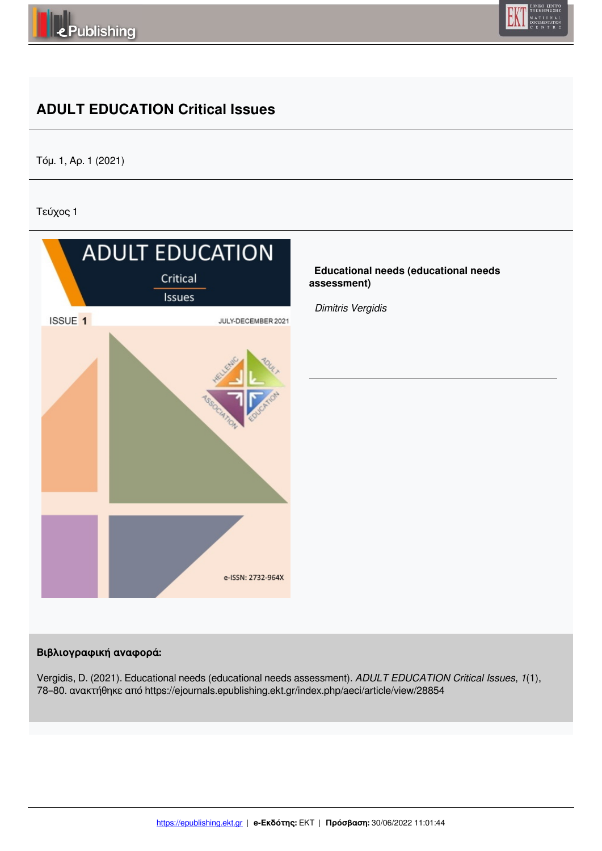



# **ADULT EDUCATION Critical Issues**

Τόμ. 1, Αρ. 1 (2021)

Τεύχος 1



## **Βιβλιογραφική αναφορά:**

Vergidis, D. (2021). Educational needs (educational needs assessment). *ADULT EDUCATION Critical Issues*, *1*(1), 78–80. ανακτήθηκε από https://ejournals.epublishing.ekt.gr/index.php/aeci/article/view/28854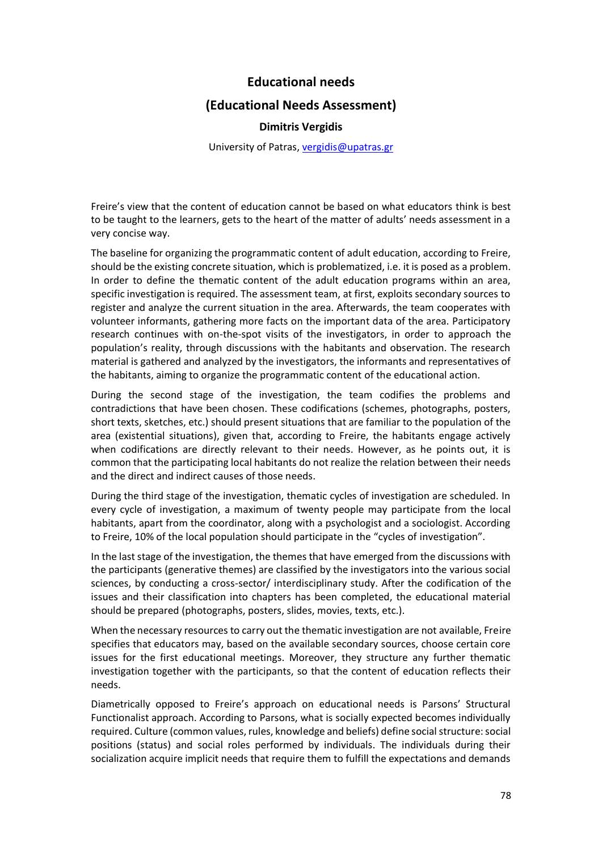## **Educational needs**

#### **(Educational Needs Assessment)**

#### **Dimitris Vergidis**

University of Patras, vergidis@upatras.gr

Freire's view that the content of education cannot be based on what educators think is best to be taught to the learners, gets to the heart of the matter of adults' needs assessment in a very concise way.

The baseline for organizing the programmatic content of adult education, according to Freire, should be the existing concrete situation, which is problematized, i.e. it is posed as a problem. In order to define the thematic content of the adult education programs within an area, specific investigation is required. The assessment team, at first, exploits secondary sources to register and analyze the current situation in the area. Afterwards, the team cooperates with volunteer informants, gathering more facts on the important data of the area. Participatory research continues with on-the-spot visits of the investigators, in order to approach the population's reality, through discussions with the habitants and observation. The research material is gathered and analyzed by the investigators, the informants and representatives of the habitants, aiming to organize the programmatic content of the educational action.

During the second stage of the investigation, the team codifies the problems and contradictions that have been chosen. These codifications (schemes, photographs, posters, short texts, sketches, etc.) should present situations that are familiar to the population of the area (existential situations), given that, according to Freire, the habitants engage actively when codifications are directly relevant to their needs. However, as he points out, it is common that the participating local habitants do not realize the relation between their needs and the direct and indirect causes of those needs.

During the third stage of the investigation, thematic cycles of investigation are scheduled. In every cycle of investigation, a maximum of twenty people may participate from the local habitants, apart from the coordinator, along with a psychologist and a sociologist. According to Freire, 10% of the local population should participate in the "cycles of investigation".

In the last stage of the investigation, the themes that have emerged from the discussions with the participants (generative themes) are classified by the investigators into the various social sciences, by conducting a cross-sector/ interdisciplinary study. After the codification of the issues and their classification into chapters has been completed, the educational material should be prepared (photographs, posters, slides, movies, texts, etc.).

When the necessary resources to carry out the thematic investigation are not available, Freire specifies that educators may, based on the available secondary sources, choose certain core issues for the first educational meetings. Moreover, they structure any further thematic investigation together with the participants, so that the content of education reflects their needs.

Diametrically opposed to Freire's approach on educational needs is Parsons' Structural Functionalist approach. According to Parsons, what is socially expected becomes individually required. Culture (common values, rules, knowledge and beliefs) define social structure: social positions (status) and social roles performed by individuals. The individuals during their socialization acquire implicit needs that require them to fulfill the expectations and demands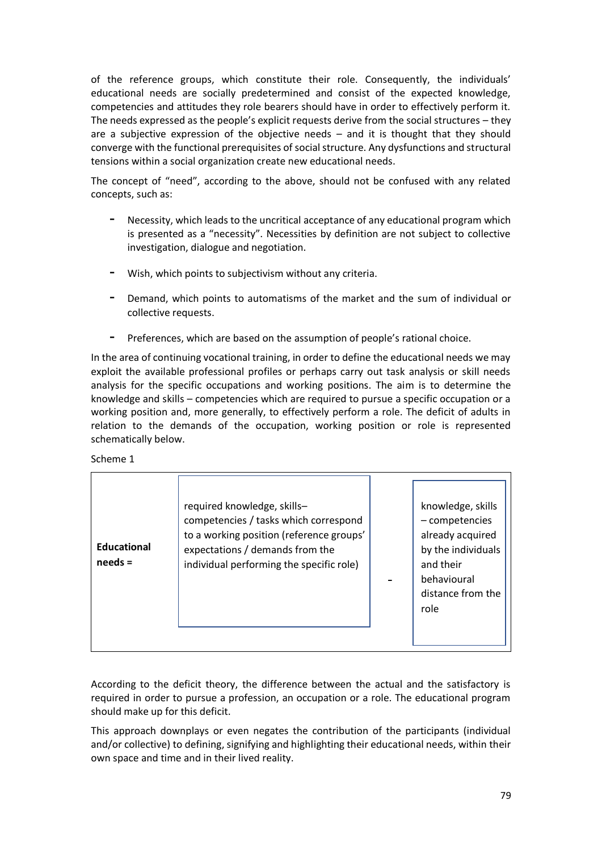of the reference groups, which constitute their role. Consequently, the individuals' educational needs are socially predetermined and consist of the expected knowledge, competencies and attitudes they role bearers should have in order to effectively perform it. The needs expressed as the people's explicit requests derive from the social structures – they are a subjective expression of the objective needs – and it is thought that they should converge with the functional prerequisites of social structure. Any dysfunctions and structural tensions within a social organization create new educational needs.

The concept of "need", according to the above, should not be confused with any related concepts, such as:

- **-** Necessity, which leads to the uncritical acceptance of any educational program which is presented as a "necessity". Necessities by definition are not subject to collective investigation, dialogue and negotiation.
- **-** Wish, which points to subjectivism without any criteria.
- **-** Demand, which points to automatisms of the market and the sum of individual or collective requests.
- **-** Preferences, which are based on the assumption of people's rational choice.

In the area of continuing vocational training, in order to define the educational needs we may exploit the available professional profiles or perhaps carry out task analysis or skill needs analysis for the specific occupations and working positions. The aim is to determine the knowledge and skills – competencies which are required to pursue a specific occupation or a working position and, more generally, to effectively perform a role. The deficit of adults in relation to the demands of the occupation, working position or role is represented schematically below.

Scheme 1

| <b>Educational</b><br>$needs =$ | required knowledge, skills-<br>competencies / tasks which correspond<br>to a working position (reference groups'<br>expectations / demands from the<br>individual performing the specific role) |  | knowledge, skills<br>- competencies<br>already acquired<br>by the individuals<br>and their<br>behavioural<br>distance from the<br>role |
|---------------------------------|-------------------------------------------------------------------------------------------------------------------------------------------------------------------------------------------------|--|----------------------------------------------------------------------------------------------------------------------------------------|
|---------------------------------|-------------------------------------------------------------------------------------------------------------------------------------------------------------------------------------------------|--|----------------------------------------------------------------------------------------------------------------------------------------|

According to the deficit theory, the difference between the actual and the satisfactory is required in order to pursue a profession, an occupation or a role. The educational program should make up for this deficit.

This approach downplays or even negates the contribution of the participants (individual and/or collective) to defining, signifying and highlighting their educational needs, within their own space and time and in their lived reality.